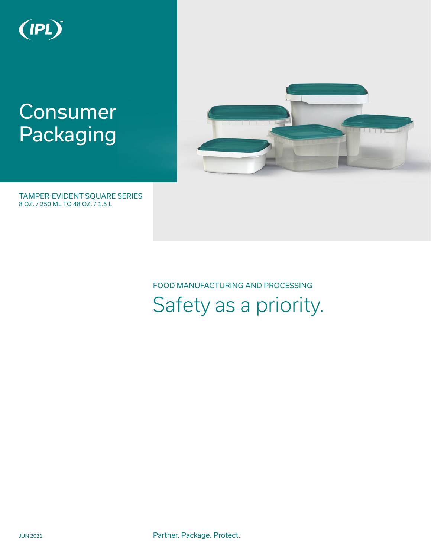

# **Consumer** Packaging



8 OZ. / 250 ML TO 48 OZ. / 1.5 L TAMPER-EVIDENT SQUARE SERIES

> FOOD MANUFACTURING AND PROCESSING Safety as a priority.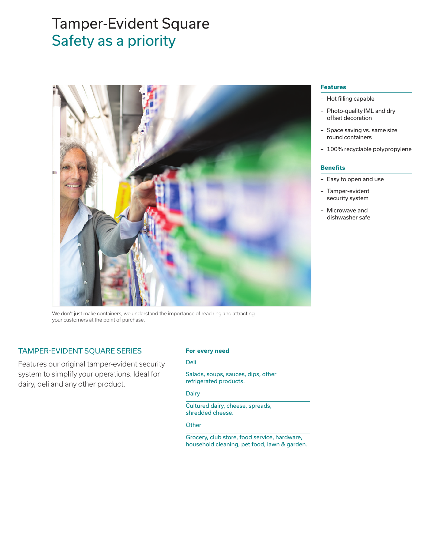# Safety as a priority Tamper-Evident Square



We don't just make containers, we understand the importance of reaching and attracting your customers at the point of purchase.

## TAMPER-EVIDENT SQUARE SERIES

Features our original tamper-evident security system to simplify your operations. Ideal for dairy, deli and any other product.

#### **For every need**

### Deli

Salads, soups, sauces, dips, other refrigerated products.

### Dairy

Cultured dairy, cheese, spreads, shredded cheese.

#### **Other**

Grocery, club store, food service, hardware, household cleaning, pet food, lawn & garden.

#### **Features**

- Hot filling capable
- Photo-quality IML and dry offset decoration
- Space saving vs. same size round containers
- 100% recyclable polypropylene

#### **Benefits**

- Easy to open and use
- Tamper-evident security system
- Microwave and dishwasher safe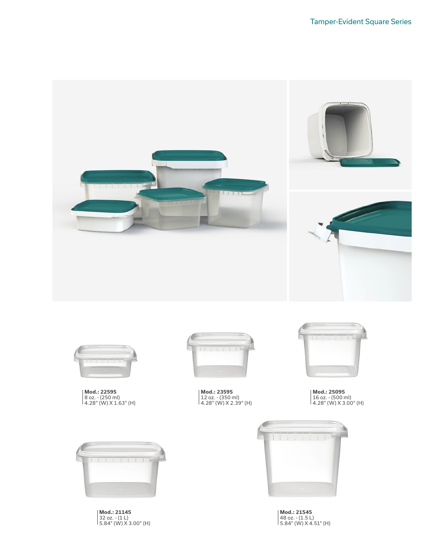



**Mod.: 22595**  8 oz. - (250 ml) 4.28" (W) X 1.63" (H)



**Mod.: 23595**  12 oz. - (350 ml) 4.28" (W) X 2.39" (H)



**Mod.: 25095**  16 oz. - (500 ml) 4.28" (W) X 3.00" (H)



**Mod.: 21145**  32 oz. - (1 L) 5.84" (W) X 3.00" (H)



**Mod.: 21545**  48 oz. - (1.5 L) 5.84" (W) X 4.51" (H)